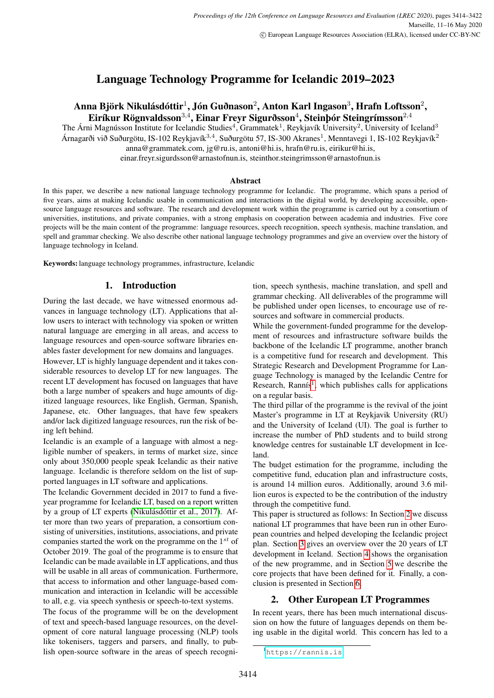# Language Technology Programme for Icelandic 2019–2023

# Anna Björk Nikulásdóttir $^{1}$ , Jón Guðnason $^{2}$ , Anton Karl Ingason $^{3}$ , Hrafn Loftsson $^{2}$ , Eiríkur Rögnvaldsson $^{3,4}$ , Einar Freyr Sigurðsson $^{4}$ , Steinþór Steingrímsson $^{2,4}$

The Árni Magnússon Institute for Icelandic Studies<sup>4</sup>, Grammatek<sup>1</sup>, Reykjavík University<sup>2</sup>, University of Iceland<sup>3</sup> Árnagarði við Suðurgötu, IS-102 Reykjavík $^{3,4}$ , Suðurgötu 57, IS-300 Akranes<sup>1</sup>, Menntavegi 1, IS-102 Reykjavík<sup>2</sup> anna@grammatek.com, jg@ru.is, antoni@hi.is, hrafn@ru.is, eirikur@hi.is,

einar.freyr.sigurdsson@arnastofnun.is, steinthor.steingrimsson@arnastofnun.is

#### Abstract

In this paper, we describe a new national language technology programme for Icelandic. The programme, which spans a period of five years, aims at making Icelandic usable in communication and interactions in the digital world, by developing accessible, opensource language resources and software. The research and development work within the programme is carried out by a consortium of universities, institutions, and private companies, with a strong emphasis on cooperation between academia and industries. Five core projects will be the main content of the programme: language resources, speech recognition, speech synthesis, machine translation, and spell and grammar checking. We also describe other national language technology programmes and give an overview over the history of language technology in Iceland.

Keywords: language technology programmes, infrastructure, Icelandic

#### 1. Introduction

During the last decade, we have witnessed enormous advances in language technology (LT). Applications that allow users to interact with technology via spoken or written natural language are emerging in all areas, and access to language resources and open-source software libraries enables faster development for new domains and languages.

However, LT is highly language dependent and it takes considerable resources to develop LT for new languages. The recent LT development has focused on languages that have both a large number of speakers and huge amounts of digitized language resources, like English, German, Spanish, Japanese, etc. Other languages, that have few speakers and/or lack digitized language resources, run the risk of being left behind.

Icelandic is an example of a language with almost a negligible number of speakers, in terms of market size, since only about 350,000 people speak Icelandic as their native language. Icelandic is therefore seldom on the list of supported languages in LT software and applications.

The Icelandic Government decided in 2017 to fund a fiveyear programme for Icelandic LT, based on a report written by a group of LT experts [\(Nikulásdóttir et al., 2017\)](#page-8-0). After more than two years of preparation, a consortium consisting of universities, institutions, associations, and private companies started the work on the programme on the  $1^{st}$  of October 2019. The goal of the programme is to ensure that Icelandic can be made available in LT applications, and thus will be usable in all areas of communication. Furthermore, that access to information and other language-based communication and interaction in Icelandic will be accessible to all, e.g. via speech synthesis or speech-to-text systems.

The focus of the programme will be on the development of text and speech-based language resources, on the development of core natural language processing (NLP) tools like tokenisers, taggers and parsers, and finally, to publish open-source software in the areas of speech recognition, speech synthesis, machine translation, and spell and grammar checking. All deliverables of the programme will be published under open licenses, to encourage use of resources and software in commercial products.

While the government-funded programme for the development of resources and infrastructure software builds the backbone of the Icelandic LT programme, another branch is a competitive fund for research and development. This Strategic Research and Development Programme for Language Technology is managed by the Icelandic Centre for Research, Rannís<sup>[1](#page-0-0)</sup>, which publishes calls for applications on a regular basis.

The third pillar of the programme is the revival of the joint Master's programme in LT at Reykjavik University (RU) and the University of Iceland (UI). The goal is further to increase the number of PhD students and to build strong knowledge centres for sustainable LT development in Iceland.

The budget estimation for the programme, including the competitive fund, education plan and infrastructure costs, is around 14 million euros. Additionally, around 3.6 million euros is expected to be the contribution of the industry through the competitive fund.

This paper is structured as follows: In Section [2](#page-0-1) we discuss national LT programmes that have been run in other European countries and helped developing the Icelandic project plan. Section [3](#page-1-0) gives an overview over the 20 years of LT development in Iceland. Section [4](#page-2-0) shows the organisation of the new programme, and in Section [5](#page-3-0) we describe the core projects that have been defined for it. Finally, a conclusion is presented in Section [6.](#page-6-0)

### <span id="page-0-1"></span>2. Other European LT Programmes

In recent years, there has been much international discussion on how the future of languages depends on them being usable in the digital world. This concern has led to a

<span id="page-0-0"></span><sup>1</sup><https://rannis.is>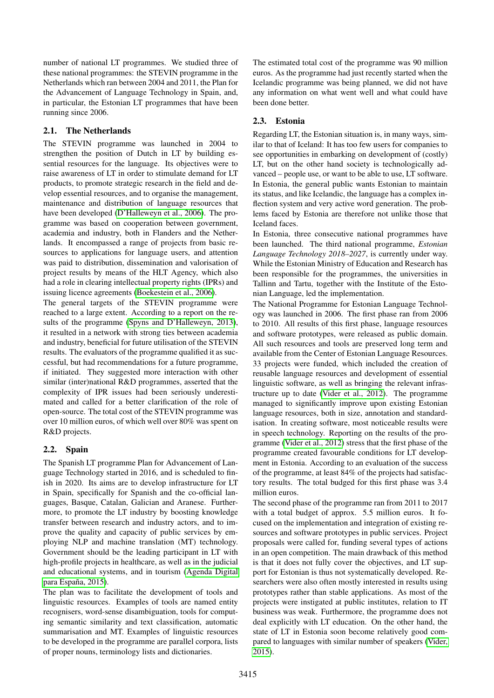number of national LT programmes. We studied three of these national programmes: the STEVIN programme in the Netherlands which ran between 2004 and 2011, the Plan for the Advancement of Language Technology in Spain, and, in particular, the Estonian LT programmes that have been running since 2006.

### 2.1. The Netherlands

The STEVIN programme was launched in 2004 to strengthen the position of Dutch in LT by building essential resources for the language. Its objectives were to raise awareness of LT in order to stimulate demand for LT products, to promote strategic research in the field and develop essential resources, and to organise the management, maintenance and distribution of language resources that have been developed [\(D'Halleweyn et al., 2006\)](#page-7-0). The programme was based on cooperation between government, academia and industry, both in Flanders and the Netherlands. It encompassed a range of projects from basic resources to applications for language users, and attention was paid to distribution, dissemination and valorisation of project results by means of the HLT Agency, which also had a role in clearing intellectual property rights (IPRs) and issuing licence agreements [\(Boekestein et al., 2006\)](#page-7-1).

The general targets of the STEVIN programme were reached to a large extent. According to a report on the results of the programme [\(Spyns and D'Halleweyn, 2013\)](#page-8-1), it resulted in a network with strong ties between academia and industry, beneficial for future utilisation of the STEVIN results. The evaluators of the programme qualified it as successful, but had recommendations for a future programme, if initiated. They suggested more interaction with other similar (inter)national R&D programmes, asserted that the complexity of IPR issues had been seriously underestimated and called for a better clarification of the role of open-source. The total cost of the STEVIN programme was over 10 million euros, of which well over 80% was spent on R&D projects.

# 2.2. Spain

The Spanish LT programme Plan for Advancement of Language Technology started in 2016, and is scheduled to finish in 2020. Its aims are to develop infrastructure for LT in Spain, specifically for Spanish and the co-official languages, Basque, Catalan, Galician and Aranese. Furthermore, to promote the LT industry by boosting knowledge transfer between research and industry actors, and to improve the quality and capacity of public services by employing NLP and machine translation (MT) technology. Government should be the leading participant in LT with high-profile projects in healthcare, as well as in the judicial and educational systems, and in tourism [\(Agenda Digital](#page-7-2) [para España, 2015\)](#page-7-2).

The plan was to facilitate the development of tools and linguistic resources. Examples of tools are named entity recognisers, word-sense disambiguation, tools for computing semantic similarity and text classification, automatic summarisation and MT. Examples of linguistic resources to be developed in the programme are parallel corpora, lists of proper nouns, terminology lists and dictionaries.

The estimated total cost of the programme was 90 million euros. As the programme had just recently started when the Icelandic programme was being planned, we did not have any information on what went well and what could have been done better.

# 2.3. Estonia

Regarding LT, the Estonian situation is, in many ways, similar to that of Iceland: It has too few users for companies to see opportunities in embarking on development of (costly) LT, but on the other hand society is technologically advanced – people use, or want to be able to use, LT software. In Estonia, the general public wants Estonian to maintain its status, and like Icelandic, the language has a complex inflection system and very active word generation. The problems faced by Estonia are therefore not unlike those that Iceland faces.

In Estonia, three consecutive national programmes have been launched. The third national programme, *Estonian Language Technology 2018–2027*, is currently under way. While the Estonian Ministry of Education and Research has been responsible for the programmes, the universities in Tallinn and Tartu, together with the Institute of the Estonian Language, led the implementation.

The National Programme for Estonian Language Technology was launched in 2006. The first phase ran from 2006 to 2010. All results of this first phase, language resources and software prototypes, were released as public domain. All such resources and tools are preserved long term and available from the Center of Estonian Language Resources. 33 projects were funded, which included the creation of reusable language resources and development of essential linguistic software, as well as bringing the relevant infrastructure up to date [\(Vider et al., 2012\)](#page-8-2). The programme managed to significantly improve upon existing Estonian language resources, both in size, annotation and standardisation. In creating software, most noticeable results were in speech technology. Reporting on the results of the programme [\(Vider et al., 2012\)](#page-8-2) stress that the first phase of the programme created favourable conditions for LT development in Estonia. According to an evaluation of the success of the programme, at least 84% of the projects had satisfactory results. The total budged for this first phase was 3.4 million euros.

<span id="page-1-0"></span>The second phase of the programme ran from 2011 to 2017 with a total budget of approx. 5.5 million euros. It focused on the implementation and integration of existing resources and software prototypes in public services. Project proposals were called for, funding several types of actions in an open competition. The main drawback of this method is that it does not fully cover the objectives, and LT support for Estonian is thus not systematically developed. Researchers were also often mostly interested in results using prototypes rather than stable applications. As most of the projects were instigated at public institutes, relation to IT business was weak. Furthermore, the programme does not deal explicitly with LT education. On the other hand, the state of LT in Estonia soon become relatively good compared to languages with similar number of speakers [\(Vider,](#page-8-3) [2015\)](#page-8-3).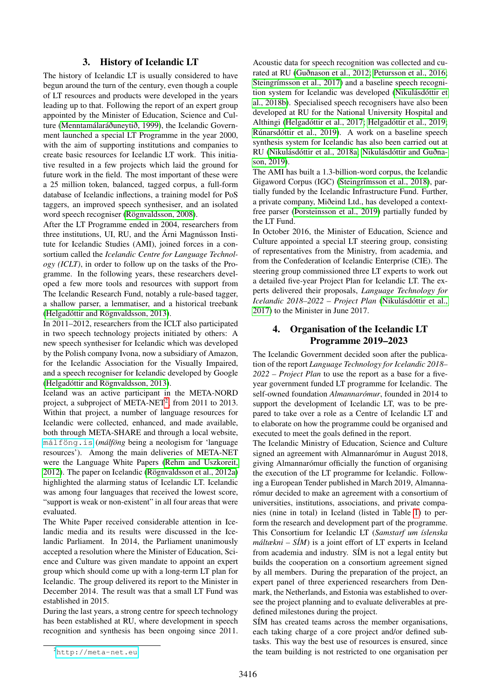### 3. History of Icelandic LT

The history of Icelandic LT is usually considered to have begun around the turn of the century, even though a couple of LT resources and products were developed in the years leading up to that. Following the report of an expert group appointed by the Minister of Education, Science and Culture [\(Menntamálaráðuneytið, 1999\)](#page-8-4), the Icelandic Government launched a special LT Programme in the year 2000, with the aim of supporting institutions and companies to create basic resources for Icelandic LT work. This initiative resulted in a few projects which laid the ground for future work in the field. The most important of these were a 25 million token, balanced, tagged corpus, a full-form database of Icelandic inflections, a training model for PoS taggers, an improved speech synthesiser, and an isolated word speech recogniser [\(Rögnvaldsson, 2008\)](#page-8-5).

After the LT Programme ended in 2004, researchers from three institutions, UI, RU, and the Árni Magnússon Institute for Icelandic Studies (AMI), joined forces in a consortium called the *Icelandic Centre for Language Technology (ICLT)*, in order to follow up on the tasks of the Programme. In the following years, these researchers developed a few more tools and resources with support from The Icelandic Research Fund, notably a rule-based tagger, a shallow parser, a lemmatiser, and a historical treebank [\(Helgadóttir and Rögnvaldsson, 2013\)](#page-7-3).

In 2011–2012, researchers from the ICLT also participated in two speech technology projects initiated by others: A new speech synthesiser for Icelandic which was developed by the Polish company Ivona, now a subsidiary of Amazon, for the Icelandic Association for the Visually Impaired, and a speech recogniser for Icelandic developed by Google [\(Helgadóttir and Rögnvaldsson, 2013\)](#page-7-3).

Iceland was an active participant in the META-NORD project, a subproject of META-NET<sup>[2](#page-2-1)</sup>, from 2011 to 2013. Within that project, a number of language resources for Icelandic were collected, enhanced, and made available, both through META-SHARE and through a local website, [málföng.is](m�lf�ng.is) (*málföng* being a neologism for 'language resources'). Among the main deliveries of META-NET were the Language White Papers [\(Rehm and Uszkoreit,](#page-8-6) [2012\)](#page-8-6). The paper on Icelandic [\(Rögnvaldsson et al., 2012a\)](#page-8-7) highlighted the alarming status of Icelandic LT. Icelandic was among four languages that received the lowest score, "support is weak or non-existent" in all four areas that were evaluated.

The White Paper received considerable attention in Icelandic media and its results were discussed in the Icelandic Parliament. In 2014, the Parliament unanimously accepted a resolution where the Minister of Education, Science and Culture was given mandate to appoint an expert group which should come up with a long-term LT plan for Icelandic. The group delivered its report to the Minister in December 2014. The result was that a small LT Fund was established in 2015.

During the last years, a strong centre for speech technology has been established at RU, where development in speech recognition and synthesis has been ongoing since 2011. Acoustic data for speech recognition was collected and curated at RU [\(Guðnason et al., 2012;](#page-7-4) [Petursson et al., 2016;](#page-8-8) [Steingrímsson et al., 2017\)](#page-8-9) and a baseline speech recognition system for Icelandic was developed [\(Nikulásdóttir et](#page-8-10) [al., 2018b\)](#page-8-10). Specialised speech recognisers have also been developed at RU for the National University Hospital and Althingi [\(Helgadóttir et al., 2017;](#page-7-5) [Helgadóttir et al., 2019;](#page-7-6) [Rúnarsdóttir et al., 2019\)](#page-8-11). A work on a baseline speech synthesis system for Icelandic has also been carried out at RU [\(Nikulásdóttir et al., 2018a;](#page-8-12) [Nikulásdóttir and Guðna](#page-8-13)[son, 2019\)](#page-8-13).

The AMI has built a 1.3-billion-word corpus, the Icelandic Gigaword Corpus (IGC) [\(Steingrímsson et al., 2018\)](#page-8-14), partially funded by the Icelandic Infrastructure Fund. Further, a private company, Miðeind Ltd., has developed a contextfree parser [\(Þorsteinsson et al., 2019\)](#page-8-15) partially funded by the LT Fund.

In October 2016, the Minister of Education, Science and Culture appointed a special LT steering group, consisting of representatives from the Ministry, from academia, and from the Confederation of Icelandic Enterprise (CIE). The steering group commissioned three LT experts to work out a detailed five-year Project Plan for Icelandic LT. The experts delivered their proposals, *Language Technology for Icelandic 2018–2022 – Project Plan* [\(Nikulásdóttir et al.,](#page-8-0) [2017\)](#page-8-0) to the Minister in June 2017.

### <span id="page-2-0"></span>4. Organisation of the Icelandic LT Programme 2019–2023

The Icelandic Government decided soon after the publication of the report *Language Technology for Icelandic 2018– 2022 – Project Plan* to use the report as a base for a fiveyear government funded LT programme for Icelandic. The self-owned foundation *Almannarómur*, founded in 2014 to support the development of Icelandic LT, was to be prepared to take over a role as a Centre of Icelandic LT and to elaborate on how the programme could be organised and executed to meet the goals defined in the report.

The Icelandic Ministry of Education, Science and Culture signed an agreement with Almannarómur in August 2018, giving Almannarómur officially the function of organising the execution of the LT programme for Icelandic. Following a European Tender published in March 2019, Almannarómur decided to make an agreement with a consortium of universities, institutions, associations, and private companies (nine in total) in Iceland (listed in Table [1\)](#page-3-1) to perform the research and development part of the programme. This Consortium for Icelandic LT (*Samstarf um íslenska máltækni – SÍM*) is a joint effort of LT experts in Iceland from academia and industry. SÍM is not a legal entity but builds the cooperation on a consortium agreement signed by all members. During the preparation of the project, an expert panel of three experienced researchers from Denmark, the Netherlands, and Estonia was established to oversee the project planning and to evaluate deliverables at predefined milestones during the project.

SÍM has created teams across the member organisations, each taking charge of a core project and/or defined subtasks. This way the best use of resources is ensured, since the team building is not restricted to one organisation per

<span id="page-2-1"></span><sup>2</sup><http://meta-net.eu>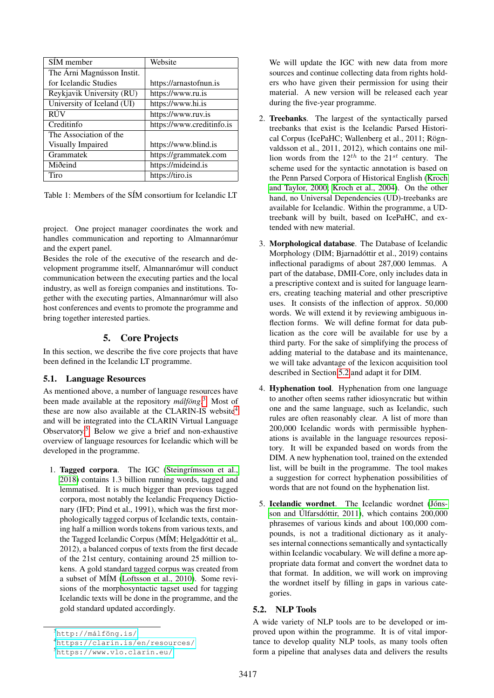| SÍM member                 | Website                   |
|----------------------------|---------------------------|
| The Árni Magnússon Instit. |                           |
| for Icelandic Studies      | https://arnastofnun.is    |
| Reykjavik University (RU)  | https://www.ru.is         |
| University of Iceland (UI) | https://www.hi.is         |
| <b>RÚV</b>                 | https://www.ruv.is        |
| Creditinfo                 | https://www.creditinfo.is |
| The Association of the     |                           |
| Visually Impaired          | https://www.blind.is      |
| Grammatek                  | https://grammatek.com     |
| Miðeind                    | https://mideind.is        |
| Tiro                       | https://tiro.is           |

<span id="page-3-1"></span>Table 1: Members of the SÍM consortium for Icelandic LT

project. One project manager coordinates the work and handles communication and reporting to Almannarómur and the expert panel.

Besides the role of the executive of the research and development programme itself, Almannarómur will conduct communication between the executing parties and the local industry, as well as foreign companies and institutions. Together with the executing parties, Almannarómur will also host conferences and events to promote the programme and bring together interested parties.

### 5. Core Projects

<span id="page-3-0"></span>In this section, we describe the five core projects that have been defined in the Icelandic LT programme.

### <span id="page-3-6"></span>5.1. Language Resources

As mentioned above, a number of language resources have been made available at the repository *málföng*. [3](#page-3-2) Most of these are now also available at the CLARIN-IS website<sup>[4](#page-3-3)</sup> and will be integrated into the CLARIN Virtual Language Observatory.[5](#page-3-4) Below we give a brief and non-exhaustive overview of language resources for Icelandic which will be developed in the programme.

1. Tagged corpora. The IGC [\(Steingrímsson et al.,](#page-8-14) [2018\)](#page-8-14) contains 1.3 billion running words, tagged and lemmatised. It is much bigger than previous tagged corpora, most notably the Icelandic Frequency Dictionary (IFD; Pind et al., 1991), which was the first morphologically tagged corpus of Icelandic texts, containing half a million words tokens from various texts, and the Tagged Icelandic Corpus (MÍM; Helgadóttir et al,. 2012), a balanced corpus of texts from the first decade of the 21st century, containing around 25 million tokens. A gold standard tagged corpus was created from a subset of MÍM [\(Loftsson et al., 2010\)](#page-8-16). Some revisions of the morphosyntactic tagset used for tagging Icelandic texts will be done in the programme, and the gold standard updated accordingly.

We will update the IGC with new data from more sources and continue collecting data from rights holders who have given their permission for using their material. A new version will be released each year during the five-year programme.

- 2. Treebanks. The largest of the syntactically parsed treebanks that exist is the Icelandic Parsed Historical Corpus (IcePaHC; Wallenberg et al., 2011; Rögnvaldsson et al., 2011, 2012), which contains one million words from the  $12^{th}$  to the  $21^{st}$  century. The scheme used for the syntactic annotation is based on the Penn Parsed Corpora of Historical English [\(Kroch](#page-7-7) [and Taylor, 2000;](#page-7-7) [Kroch et al., 2004\)](#page-7-8). On the other hand, no Universal Dependencies (UD)-treebanks are available for Icelandic. Within the programme, a UDtreebank will by built, based on IcePaHC, and extended with new material.
- 3. Morphological database. The Database of Icelandic Morphology (DIM; Bjarnadóttir et al., 2019) contains inflectional paradigms of about 287,000 lemmas. A part of the database, DMII-Core, only includes data in a prescriptive context and is suited for language learners, creating teaching material and other prescriptive uses. It consists of the inflection of approx. 50,000 words. We will extend it by reviewing ambiguous inflection forms. We will define format for data publication as the core will be available for use by a third party. For the sake of simplifying the process of adding material to the database and its maintenance, we will take advantage of the lexicon acquisition tool described in Section [5.2](#page-3-5) and adapt it for DIM.
- 4. Hyphenation tool. Hyphenation from one language to another often seems rather idiosyncratic but within one and the same language, such as Icelandic, such rules are often reasonably clear. A list of more than 200,000 Icelandic words with permissible hyphenations is available in the language resources repository. It will be expanded based on words from the DIM. A new hyphenation tool, trained on the extended list, will be built in the programme. The tool makes a suggestion for correct hyphenation possibilities of words that are not found on the hyphenation list.
- 5. Icelandic wordnet. The Icelandic wordnet [\(Jóns](#page-7-9)[son and Úlfarsdóttir, 2011\)](#page-7-9), which contains 200,000 phrasemes of various kinds and about 100,000 compounds, is not a traditional dictionary as it analyses internal connections semantically and syntactically within Icelandic vocabulary. We will define a more appropriate data format and convert the wordnet data to that format. In addition, we will work on improving the wordnet itself by filling in gaps in various categories.

### <span id="page-3-5"></span>5.2. NLP Tools

A wide variety of NLP tools are to be developed or improved upon within the programme. It is of vital importance to develop quality NLP tools, as many tools often form a pipeline that analyses data and delivers the results

<span id="page-3-2"></span><sup>3</sup>[http://málföng.is/](http://m�lf�ng.is/)

<span id="page-3-3"></span><sup>4</sup><https://clarin.is/en/resources/>

<span id="page-3-4"></span><sup>5</sup><https://www.vlo.clarin.eu/>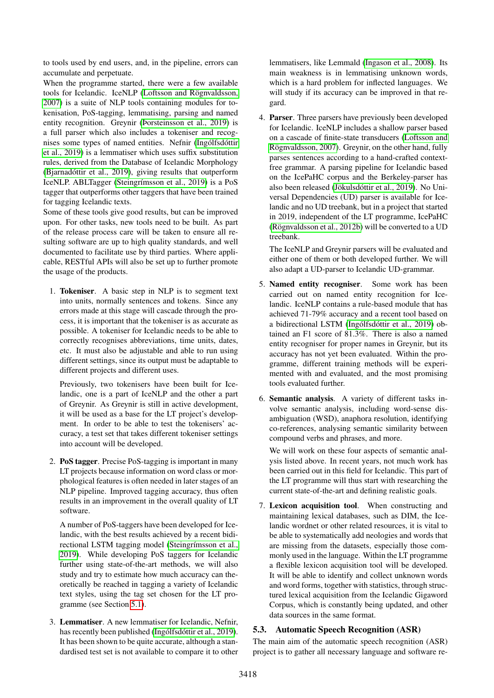to tools used by end users, and, in the pipeline, errors can accumulate and perpetuate.

When the programme started, there were a few available tools for Icelandic. IceNLP [\(Loftsson and Rögnvaldsson,](#page-7-10) [2007\)](#page-7-10) is a suite of NLP tools containing modules for tokenisation, PoS-tagging, lemmatising, parsing and named entity recognition. Greynir [\(Þorsteinsson et al., 2019\)](#page-8-15) is a full parser which also includes a tokeniser and recognises some types of named entities. Nefnir [\(Ingólfsdóttir](#page-7-11) [et al., 2019\)](#page-7-11) is a lemmatiser which uses suffix substitution rules, derived from the Database of Icelandic Morphology [\(Bjarnadóttir et al., 2019\)](#page-7-12), giving results that outperform IceNLP. ABLTagger [\(Steingrímsson et al., 2019\)](#page-8-17) is a PoS tagger that outperforms other taggers that have been trained for tagging Icelandic texts.

Some of these tools give good results, but can be improved upon. For other tasks, new tools need to be built. As part of the release process care will be taken to ensure all resulting software are up to high quality standards, and well documented to facilitate use by third parties. Where applicable, RESTful APIs will also be set up to further promote the usage of the products.

1. Tokeniser. A basic step in NLP is to segment text into units, normally sentences and tokens. Since any errors made at this stage will cascade through the process, it is important that the tokeniser is as accurate as possible. A tokeniser for Icelandic needs to be able to correctly recognises abbreviations, time units, dates, etc. It must also be adjustable and able to run using different settings, since its output must be adaptable to different projects and different uses.

Previously, two tokenisers have been built for Icelandic, one is a part of IceNLP and the other a part of Greynir. As Greynir is still in active development, it will be used as a base for the LT project's development. In order to be able to test the tokenisers' accuracy, a test set that takes different tokeniser settings into account will be developed.

2. PoS tagger. Precise PoS-tagging is important in many LT projects because information on word class or morphological features is often needed in later stages of an NLP pipeline. Improved tagging accuracy, thus often results in an improvement in the overall quality of LT software.

A number of PoS-taggers have been developed for Icelandic, with the best results achieved by a recent bidirectional LSTM tagging model [\(Steingrímsson et al.,](#page-8-17) [2019\)](#page-8-17). While developing PoS taggers for Icelandic further using state-of-the-art methods, we will also study and try to estimate how much accuracy can theoretically be reached in tagging a variety of Icelandic text styles, using the tag set chosen for the LT programme (see Section [5.1\)](#page-3-6).

3. Lemmatiser. A new lemmatiser for Icelandic, Nefnir, has recently been published [\(Ingólfsdóttir et al., 2019\)](#page-7-11). It has been shown to be quite accurate, although a standardised test set is not available to compare it to other lemmatisers, like Lemmald [\(Ingason et al., 2008\)](#page-7-13). Its main weakness is in lemmatising unknown words, which is a hard problem for inflected languages. We will study if its accuracy can be improved in that regard.

4. Parser. Three parsers have previously been developed for Icelandic. IceNLP includes a shallow parser based on a cascade of finite-state transducers [\(Loftsson and](#page-8-18) [Rögnvaldsson, 2007\)](#page-8-18). Greynir, on the other hand, fully parses sentences according to a hand-crafted contextfree grammar. A parsing pipeline for Icelandic based on the IcePaHC corpus and the Berkeley-parser has also been released [\(Jökulsdóttir et al., 2019\)](#page-7-14). No Universal Dependencies (UD) parser is available for Icelandic and no UD treebank, but in a project that started in 2019, independent of the LT programme, IcePaHC [\(Rögnvaldsson et al., 2012b\)](#page-8-19) will be converted to a UD treebank.

The IceNLP and Greynir parsers will be evaluated and either one of them or both developed further. We will also adapt a UD-parser to Icelandic UD-grammar.

- 5. Named entity recogniser. Some work has been carried out on named entity recognition for Icelandic. IceNLP contains a rule-based module that has achieved 71-79% accuracy and a recent tool based on a bidirectional LSTM [\(Ingólfsdóttir et al., 2019\)](#page-7-15) obtained an F1 score of 81.3%. There is also a named entity recogniser for proper names in Greynir, but its accuracy has not yet been evaluated. Within the programme, different training methods will be experimented with and evaluated, and the most promising tools evaluated further.
- 6. Semantic analysis. A variety of different tasks involve semantic analysis, including word-sense disambiguation (WSD), anaphora resolution, identifying co-references, analysing semantic similarity between compound verbs and phrases, and more.

We will work on these four aspects of semantic analysis listed above. In recent years, not much work has been carried out in this field for Icelandic. This part of the LT programme will thus start with researching the current state-of-the-art and defining realistic goals.

7. Lexicon acquisition tool. When constructing and maintaining lexical databases, such as DIM, the Icelandic wordnet or other related resources, it is vital to be able to systematically add neologies and words that are missing from the datasets, especially those commonly used in the language. Within the LT programme a flexible lexicon acquisition tool will be developed. It will be able to identify and collect unknown words and word forms, together with statistics, through structured lexical acquisition from the Icelandic Gigaword Corpus, which is constantly being updated, and other data sources in the same format.

### 5.3. Automatic Speech Recognition (ASR)

The main aim of the automatic speech recognition (ASR) project is to gather all necessary language and software re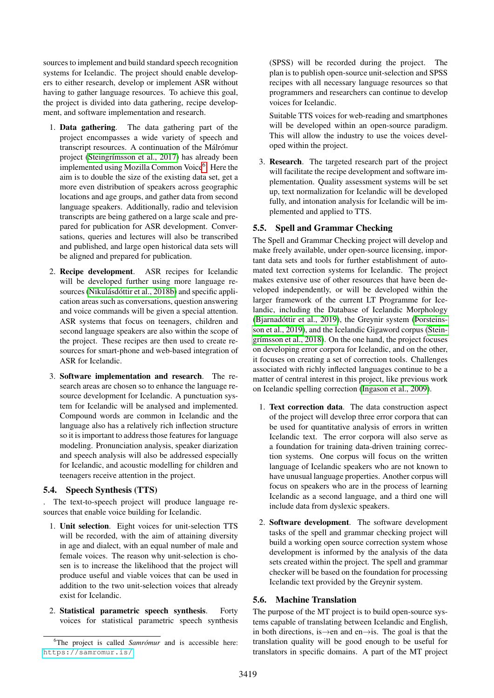sources to implement and build standard speech recognition systems for Icelandic. The project should enable developers to either research, develop or implement ASR without having to gather language resources. To achieve this goal, the project is divided into data gathering, recipe development, and software implementation and research.

- 1. Data gathering. The data gathering part of the project encompasses a wide variety of speech and transcript resources. A continuation of the Málrómur project [\(Steingrímsson et al., 2017\)](#page-8-9) has already been implemented using Mozilla Common Voice<sup>[6](#page-5-0)</sup>. Here the aim is to double the size of the existing data set, get a more even distribution of speakers across geographic locations and age groups, and gather data from second language speakers. Additionally, radio and television transcripts are being gathered on a large scale and prepared for publication for ASR development. Conversations, queries and lectures will also be transcribed and published, and large open historical data sets will be aligned and prepared for publication.
- 2. Recipe development. ASR recipes for Icelandic will be developed further using more language resources [\(Nikulásdóttir et al., 2018b\)](#page-8-10) and specific application areas such as conversations, question answering and voice commands will be given a special attention. ASR systems that focus on teenagers, children and second language speakers are also within the scope of the project. These recipes are then used to create resources for smart-phone and web-based integration of ASR for Icelandic.
- 3. Software implementation and research. The research areas are chosen so to enhance the language resource development for Icelandic. A punctuation system for Icelandic will be analysed and implemented. Compound words are common in Icelandic and the language also has a relatively rich inflection structure so it is important to address those features for language modeling. Pronunciation analysis, speaker diarization and speech analysis will also be addressed especially for Icelandic, and acoustic modelling for children and teenagers receive attention in the project.

### 5.4. Speech Synthesis (TTS)

. The text-to-speech project will produce language resources that enable voice building for Icelandic.

- 1. Unit selection. Eight voices for unit-selection TTS will be recorded, with the aim of attaining diversity in age and dialect, with an equal number of male and female voices. The reason why unit-selection is chosen is to increase the likelihood that the project will produce useful and viable voices that can be used in addition to the two unit-selection voices that already exist for Icelandic.
- 2. Statistical parametric speech synthesis. Forty voices for statistical parametric speech synthesis

(SPSS) will be recorded during the project. The plan is to publish open-source unit-selection and SPSS recipes with all necessary language resources so that programmers and researchers can continue to develop voices for Icelandic.

Suitable TTS voices for web-reading and smartphones will be developed within an open-source paradigm. This will allow the industry to use the voices developed within the project.

3. Research. The targeted research part of the project will facilitate the recipe development and software implementation. Quality assessment systems will be set up, text normalization for Icelandic will be developed fully, and intonation analysis for Icelandic will be implemented and applied to TTS.

#### 5.5. Spell and Grammar Checking

The Spell and Grammar Checking project will develop and make freely available, under open-source licensing, important data sets and tools for further establishment of automated text correction systems for Icelandic. The project makes extensive use of other resources that have been developed independently, or will be developed within the larger framework of the current LT Programme for Icelandic, including the Database of Icelandic Morphology [\(Bjarnadóttir et al., 2019\)](#page-7-12), the Greynir system [\(Þorsteins](#page-8-15)[son et al., 2019\)](#page-8-15), and the Icelandic Gigaword corpus [\(Stein](#page-8-14)[grímsson et al., 2018\)](#page-8-14). On the one hand, the project focuses on developing error corpora for Icelandic, and on the other, it focuses on creating a set of correction tools. Challenges associated with richly inflected languages continue to be a matter of central interest in this project, like previous work on Icelandic spelling correction [\(Ingason et al., 2009\)](#page-7-16).

- 1. Text correction data. The data construction aspect of the project will develop three error corpora that can be used for quantitative analysis of errors in written Icelandic text. The error corpora will also serve as a foundation for training data-driven training correction systems. One corpus will focus on the written language of Icelandic speakers who are not known to have unusual language properties. Another corpus will focus on speakers who are in the process of learning Icelandic as a second language, and a third one will include data from dyslexic speakers.
- 2. Software development. The software development tasks of the spell and grammar checking project will build a working open source correction system whose development is informed by the analysis of the data sets created within the project. The spell and grammar checker will be based on the foundation for processing Icelandic text provided by the Greynir system.

#### 5.6. Machine Translation

The purpose of the MT project is to build open-source systems capable of translating between Icelandic and English, in both directions, is→en and en→is. The goal is that the translation quality will be good enough to be useful for translators in specific domains. A part of the MT project

<span id="page-5-0"></span><sup>&</sup>lt;sup>6</sup>The project is called *Samrómur* and is accessible here: <https://samromur.is/>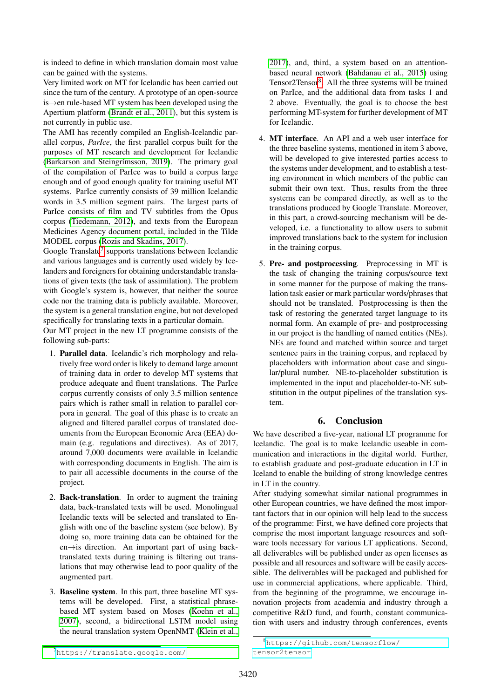is indeed to define in which translation domain most value can be gained with the systems.

Very limited work on MT for Icelandic has been carried out since the turn of the century. A prototype of an open-source is→en rule-based MT system has been developed using the Apertium platform [\(Brandt et al., 2011\)](#page-7-17), but this system is not currently in public use.

The AMI has recently compiled an English-Icelandic parallel corpus, *ParIce*, the first parallel corpus built for the purposes of MT research and development for Icelandic [\(Barkarson and Steingrímsson, 2019\)](#page-7-18). The primary goal of the compilation of ParIce was to build a corpus large enough and of good enough quality for training useful MT systems. ParIce currently consists of 39 million Icelandic words in 3.5 million segment pairs. The largest parts of ParIce consists of film and TV subtitles from the Opus corpus [\(Tiedemann, 2012\)](#page-8-20), and texts from the European Medicines Agency document portal, included in the Tilde MODEL corpus [\(Rozis and Skadins, 2017\)](#page-8-21).

Google Translate<sup>[7](#page-6-1)</sup> supports translations between Icelandic and various languages and is currently used widely by Icelanders and foreigners for obtaining understandable translations of given texts (the task of assimilation). The problem with Google's system is, however, that neither the source code nor the training data is publicly available. Moreover, the system is a general translation engine, but not developed specifically for translating texts in a particular domain.

Our MT project in the new LT programme consists of the following sub-parts:

- 1. Parallel data. Icelandic's rich morphology and relatively free word order is likely to demand large amount of training data in order to develop MT systems that produce adequate and fluent translations. The ParIce corpus currently consists of only 3.5 million sentence pairs which is rather small in relation to parallel corpora in general. The goal of this phase is to create an aligned and filtered parallel corpus of translated documents from the European Economic Area (EEA) domain (e.g. regulations and directives). As of 2017, around 7,000 documents were available in Icelandic with corresponding documents in English. The aim is to pair all accessible documents in the course of the project.
- 2. Back-translation. In order to augment the training data, back-translated texts will be used. Monolingual Icelandic texts will be selected and translated to English with one of the baseline system (see below). By doing so, more training data can be obtained for the en→is direction. An important part of using backtranslated texts during training is filtering out translations that may otherwise lead to poor quality of the augmented part.
- 3. Baseline system. In this part, three baseline MT systems will be developed. First, a statistical phrasebased MT system based on Moses [\(Koehn et al.,](#page-7-19) [2007\)](#page-7-19), second, a bidirectional LSTM model using the neural translation system OpenNMT [\(Klein et al.,](#page-7-20)

[2017\)](#page-7-20), and, third, a system based on an attentionbased neural network [\(Bahdanau et al., 2015\)](#page-7-21) using Tensor2Tensor<sup>[8](#page-6-2)</sup>. All the three systems will be trained on ParIce, and the additional data from tasks 1 and 2 above. Eventually, the goal is to choose the best performing MT-system for further development of MT for Icelandic.

- 4. MT interface. An API and a web user interface for the three baseline systems, mentioned in item 3 above, will be developed to give interested parties access to the systems under development, and to establish a testing environment in which members of the public can submit their own text. Thus, results from the three systems can be compared directly, as well as to the translations produced by Google Translate. Moreover, in this part, a crowd-sourcing mechanism will be developed, i.e. a functionality to allow users to submit improved translations back to the system for inclusion in the training corpus.
- 5. Pre- and postprocessing. Preprocessing in MT is the task of changing the training corpus/source text in some manner for the purpose of making the translation task easier or mark particular words/phrases that should not be translated. Postprocessing is then the task of restoring the generated target language to its normal form. An example of pre- and postprocessing in our project is the handling of named entities (NEs). NEs are found and matched within source and target sentence pairs in the training corpus, and replaced by placeholders with information about case and singular/plural number. NE-to-placeholder substitution is implemented in the input and placeholder-to-NE substitution in the output pipelines of the translation system.

# 6. Conclusion

<span id="page-6-0"></span>We have described a five-year, national LT programme for Icelandic. The goal is to make Icelandic useable in communication and interactions in the digital world. Further, to establish graduate and post-graduate education in LT in Iceland to enable the building of strong knowledge centres in LT in the country.

After studying somewhat similar national programmes in other European countries, we have defined the most important factors that in our opinion will help lead to the success of the programme: First, we have defined core projects that comprise the most important language resources and software tools necessary for various LT applications. Second, all deliverables will be published under as open licenses as possible and all resources and software will be easily accessible. The deliverables will be packaged and published for use in commercial applications, where applicable. Third, from the beginning of the programme, we encourage innovation projects from academia and industry through a competitive R&D fund, and fourth, constant communication with users and industry through conferences, events

<span id="page-6-1"></span><sup>7</sup>[https://translate.google.com/](#page-7-20)

<span id="page-6-2"></span><sup>8</sup>[https://github.com/tensorflow/](https://github.com/tensorflow/tensor2tensor) [tensor2tensor](https://github.com/tensorflow/tensor2tensor)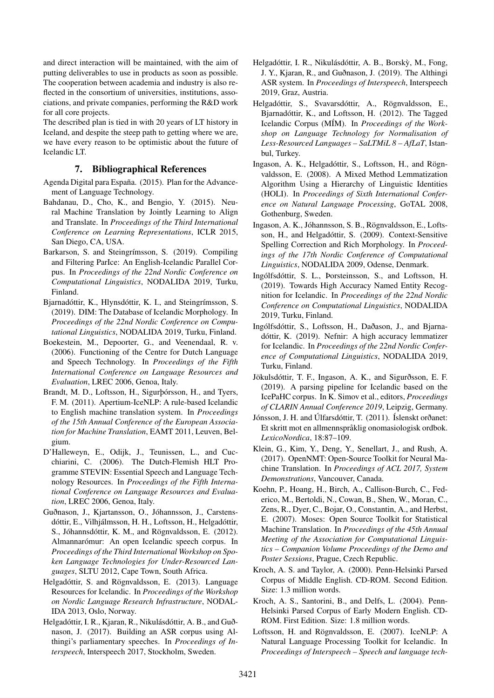and direct interaction will be maintained, with the aim of putting deliverables to use in products as soon as possible. The cooperation between academia and industry is also reflected in the consortium of universities, institutions, associations, and private companies, performing the R&D work for all core projects.

The described plan is tied in with 20 years of LT history in Iceland, and despite the steep path to getting where we are, we have every reason to be optimistic about the future of Icelandic LT.

#### 7. Bibliographical References

- <span id="page-7-2"></span>Agenda Digital para España. (2015). Plan for the Advancement of Language Technology.
- <span id="page-7-21"></span>Bahdanau, D., Cho, K., and Bengio, Y. (2015). Neural Machine Translation by Jointly Learning to Align and Translate. In *Proceedings of the Third International Conference on Learning Representations*, ICLR 2015, San Diego, CA, USA.
- <span id="page-7-18"></span>Barkarson, S. and Steingrímsson, S. (2019). Compiling and Filtering ParIce: An English-Icelandic Parallel Corpus. In *Proceedings of the 22nd Nordic Conference on Computational Linguistics*, NODALIDA 2019, Turku, Finland.
- <span id="page-7-12"></span>Bjarnadóttir, K., Hlynsdóttir, K. I., and Steingrímsson, S. (2019). DIM: The Database of Icelandic Morphology. In *Proceedings of the 22nd Nordic Conference on Computational Linguistics*, NODALIDA 2019, Turku, Finland.
- <span id="page-7-1"></span>Boekestein, M., Depoorter, G., and Veenendaal, R. v. (2006). Functioning of the Centre for Dutch Language and Speech Technology. In *Proceedings of the Fifth International Conference on Language Resources and Evaluation*, LREC 2006, Genoa, Italy.
- <span id="page-7-17"></span>Brandt, M. D., Loftsson, H., Sigurþórsson, H., and Tyers, F. M. (2011). Apertium-IceNLP: A rule-based Icelandic to English machine translation system. In *Proceedings of the 15th Annual Conference of the European Association for Machine Translation*, EAMT 2011, Leuven, Belgium.
- <span id="page-7-0"></span>D'Halleweyn, E., Odijk, J., Teunissen, L., and Cucchiarini, C. (2006). The Dutch-Flemish HLT Programme STEVIN: Essential Speech and Language Technology Resources. In *Proceedings of the Fifth International Conference on Language Resources and Evaluation*, LREC 2006, Genoa, Italy.
- <span id="page-7-4"></span>Guðnason, J., Kjartansson, O., Jóhannsson, J., Carstensdóttir, E., Vilhjálmsson, H. H., Loftsson, H., Helgadóttir, S., Jóhannsdóttir, K. M., and Rögnvaldsson, E. (2012). Almannarómur: An open Icelandic speech corpus. In *Proceedings of the Third International Workshop on Spoken Language Technologies for Under-Resourced Languages*, SLTU 2012, Cape Town, South Africa.
- <span id="page-7-3"></span>Helgadóttir, S. and Rögnvaldsson, E. (2013). Language Resources for Icelandic. In *Proceedings of the Workshop on Nordic Language Research Infrastructure*, NODAL-IDA 2013, Oslo, Norway.
- <span id="page-7-5"></span>Helgadóttir, I. R., Kjaran, R., Nikulásdóttir, A. B., and Guðnason, J. (2017). Building an ASR corpus using Althingi's parliamentary speeches. In *Proceedings of Interspeech*, Interspeech 2017, Stockholm, Sweden.
- <span id="page-7-6"></span>Helgadóttir, I. R., Nikulásdóttir, A. B., Borsky, M., Fong, ` J. Y., Kjaran, R., and Guðnason, J. (2019). The Althingi ASR system. In *Proceedings of Interspeech*, Interspeech 2019, Graz, Austria.
- Helgadóttir, S., Svavarsdóttir, A., Rögnvaldsson, E., Bjarnadóttir, K., and Loftsson, H. (2012). The Tagged Icelandic Corpus (MÍM). In *Proceedings of the Workshop on Language Technology for Normalisation of Less-Resourced Languages – SaLTMiL 8 – AfLaT*, Istanbul, Turkey.
- <span id="page-7-13"></span>Ingason, A. K., Helgadóttir, S., Loftsson, H., and Rögnvaldsson, E. (2008). A Mixed Method Lemmatization Algorithm Using a Hierarchy of Linguistic Identities (HOLI). In *Proceedings of Sixth International Conference on Natural Language Processing*, GoTAL 2008, Gothenburg, Sweden.
- <span id="page-7-16"></span>Ingason, A. K., Jóhannsson, S. B., Rögnvaldsson, E., Loftsson, H., and Helgadóttir, S. (2009). Context-Sensitive Spelling Correction and Rich Morphology. In *Proceedings of the 17th Nordic Conference of Computational Linguistics*, NODALIDA 2009, Odense, Denmark.
- <span id="page-7-15"></span>Ingólfsdóttir, S. L., Þorsteinsson, S., and Loftsson, H. (2019). Towards High Accuracy Named Entity Recognition for Icelandic. In *Proceedings of the 22nd Nordic Conference on Computational Linguistics*, NODALIDA 2019, Turku, Finland.
- <span id="page-7-11"></span>Ingólfsdóttir, S., Loftsson, H., Daðason, J., and Bjarnadóttir, K. (2019). Nefnir: A high accuracy lemmatizer for Icelandic. In *Proceedings of the 22nd Nordic Conference of Computational Linguistics*, NODALIDA 2019, Turku, Finland.
- <span id="page-7-14"></span>Jökulsdóttir, T. F., Ingason, A. K., and Sigurðsson, E. F. (2019). A parsing pipeline for Icelandic based on the IcePaHC corpus. In K. Simov et al., editors, *Proceedings of CLARIN Annual Conference 2019*, Leipzig, Germany.
- <span id="page-7-9"></span>Jónsson, J. H. and Úlfarsdóttir, T. (2011). Íslenskt orðanet: Et skritt mot en allmennspråklig onomasiologisk ordbok. *LexicoNordica*, 18:87–109.
- <span id="page-7-20"></span>Klein, G., Kim, Y., Deng, Y., Senellart, J., and Rush, A. (2017). OpenNMT: Open-Source Toolkit for Neural Machine Translation. In *Proceedings of ACL 2017, System Demonstrations*, Vancouver, Canada.
- <span id="page-7-19"></span>Koehn, P., Hoang, H., Birch, A., Callison-Burch, C., Federico, M., Bertoldi, N., Cowan, B., Shen, W., Moran, C., Zens, R., Dyer, C., Bojar, O., Constantin, A., and Herbst, E. (2007). Moses: Open Source Toolkit for Statistical Machine Translation. In *Proceedings of the 45th Annual Meeting of the Association for Computational Linguistics – Companion Volume Proceedings of the Demo and Poster Sessions*, Prague, Czech Republic.
- <span id="page-7-7"></span>Kroch, A. S. and Taylor, A. (2000). Penn-Helsinki Parsed Corpus of Middle English. CD-ROM. Second Edition. Size: 1.3 million words.
- <span id="page-7-8"></span>Kroch, A. S., Santorini, B., and Delfs, L. (2004). Penn-Helsinki Parsed Corpus of Early Modern English. CD-ROM. First Edition. Size: 1.8 million words.
- <span id="page-7-10"></span>Loftsson, H. and Rögnvaldsson, E. (2007). IceNLP: A Natural Language Processing Toolkit for Icelandic. In *Proceedings of Interspeech – Speech and language tech-*